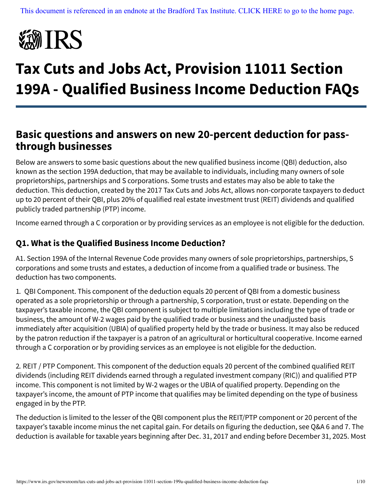

# **Tax Cuts and Jobs Act, Provision 11011 Section 199A - Qualified Business Income Deduction FAQs**

## **Basic questions and answers on new 20-percent deduction for passthrough businesses**

Below are answers to some basic questions about the new qualified business income (QBI) deduction, also known as the section 199A deduction, that may be available to individuals, including many owners of sole proprietorships, partnerships and S corporations. Some trusts and estates may also be able to take the deduction. This deduction, created by the 2017 Tax Cuts and Jobs Act, allows non-corporate taxpayers to deduct up to 20 percent of their QBI, plus 20% of qualified real estate investment trust (REIT) dividends and qualified publicly traded partnership (PTP) income.

Income earned through a C corporation or by providing services as an employee is not eligible for the deduction.

#### **Q1. What is the Qualified Business Income Deduction?**

A1. Section 199A of the Internal Revenue Code provides many owners of sole proprietorships, partnerships, S corporations and some trusts and estates, a deduction of income from a qualified trade or business. The deduction has two components.

1. QBI Component. This component of the deduction equals 20 percent of QBI from a domestic business operated as a sole proprietorship or through a partnership, S corporation, trust or estate. Depending on the taxpayer's taxable income, the QBI component is subject to multiple limitations including the type of trade or business, the amount of W-2 wages paid by the qualified trade or business and the unadjusted basis immediately after acquisition (UBIA) of qualified property held by the trade or business. It may also be reduced by the patron reduction if the taxpayer is a patron of an agricultural or horticultural cooperative. Income earned through a C corporation or by providing services as an employee is not eligible for the deduction.

2. REIT / PTP Component. This component of the deduction equals 20 percent of the combined qualified REIT dividends (including REIT dividends earned through a regulated investment company (RIC)) and qualified PTP income. This component is not limited by W-2 wages or the UBIA of qualified property. Depending on the taxpayer's income, the amount of PTP income that qualifies may be limited depending on the type of business engaged in by the PTP.

The deduction is limited to the lesser of the QBI component plus the REIT/PTP component or 20 percent of the taxpayer's taxable income minus the net capital gain. For details on figuring the deduction, see Q&A 6 and 7. The deduction is available for taxable years beginning after Dec. 31, 2017 and ending before December 31, 2025. Most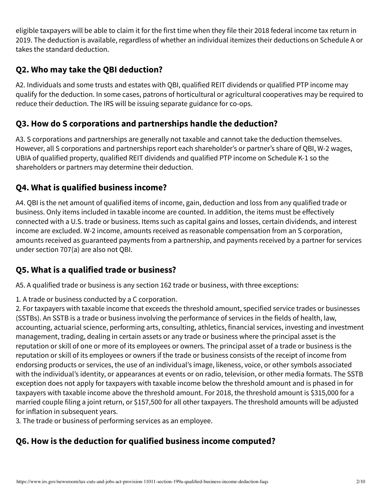eligible taxpayers will be able to claim it for the first time when they file their 2018 federal income tax return in 2019. The deduction is available, regardless of whether an individual itemizes their deductions on Schedule A or takes the standard deduction.

#### **Q2. Who may take the QBI deduction?**

A2. Individuals and some trusts and estates with QBI, qualified REIT dividends or qualified PTP income may qualify for the deduction. In some cases, patrons of horticultural or agricultural cooperatives may be required to reduce their deduction. The IRS will be issuing separate guidance for co-ops.

#### **Q3. How do S corporations and partnerships handle the deduction?**

A3. S corporations and partnerships are generally not taxable and cannot take the deduction themselves. However, all S corporations and partnerships report each shareholder's or partner's share of QBI, W-2 wages, UBIA of qualified property, qualified REIT dividends and qualified PTP income on Schedule K-1 so the shareholders or partners may determine their deduction.

#### **Q4. What is qualified business income?**

A4. QBI is the net amount of qualified items of income, gain, deduction and loss from any qualified trade or business. Only items included in taxable income are counted. In addition, the items must be effectively connected with a U.S. trade or business. Items such as capital gains and losses, certain dividends, and interest income are excluded. W-2 income, amounts received as reasonable compensation from an S corporation, amounts received as guaranteed payments from a partnership, and payments received by a partner for services under section 707(a) are also not QBI.

#### **Q5. What is a qualified trade or business?**

A5. A qualified trade or business is any section 162 trade or business, with three exceptions:

1. A trade or business conducted by a C corporation.

2. For taxpayers with taxable income that exceeds the threshold amount, specified service trades or businesses (SSTBs). An SSTB is a trade or business involving the performance of services in the fields of health, law, accounting, actuarial science, performing arts, consulting, athletics, financial services, investing and investment management, trading, dealing in certain assets or any trade or business where the principal asset is the reputation or skill of one or more of its employees or owners. The principal asset of a trade or business is the reputation or skill of its employees or owners if the trade or business consists of the receipt of income from endorsing products or services, the use of an individual's image, likeness, voice, or other symbols associated with the individual's identity, or appearances at events or on radio, television, or other media formats. The SSTB exception does not apply for taxpayers with taxable income below the threshold amount and is phased in for taxpayers with taxable income above the threshold amount. For 2018, the threshold amount is \$315,000 for a married couple filing a joint return, or \$157,500 for all other taxpayers. The threshold amounts will be adjusted for inflation in subsequent years.

3. The trade or business of performing services as an employee.

#### **Q6. How is the deduction for qualified business income computed?**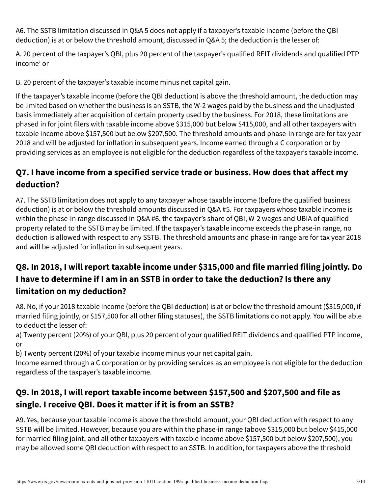A6. The SSTB limitation discussed in Q&A 5 does not apply if a taxpayer's taxable income (before the QBI deduction) is at or below the threshold amount, discussed in Q&A 5; the deduction is the lesser of:

A. 20 percent of the taxpayer's QBI, plus 20 percent of the taxpayer's qualified REIT dividends and qualified PTP income' or

B. 20 percent of the taxpayer's taxable income minus net capital gain.

If the taxpayer's taxable income (before the QBI deduction) is above the threshold amount, the deduction may be limited based on whether the business is an SSTB, the W-2 wages paid by the business and the unadjusted basis immediately after acquisition of certain property used by the business. For 2018, these limitations are phased in for joint filers with taxable income above \$315,000 but below \$415,000, and all other taxpayers with taxable income above \$157,500 but below \$207,500. The threshold amounts and phase-in range are for tax year 2018 and will be adjusted for inflation in subsequent years. Income earned through a C corporation or by providing services as an employee is not eligible for the deduction regardless of the taxpayer's taxable income.

## **Q7. I have income from a specified service trade or business. How does that affect my deduction?**

A7. The SSTB limitation does not apply to any taxpayer whose taxable income (before the qualified business deduction) is at or below the threshold amounts discussed in Q&A #5. For taxpayers whose taxable income is within the phase-in range discussed in Q&A #6, the taxpayer's share of QBI, W-2 wages and UBIA of qualified property related to the SSTB may be limited. If the taxpayer's taxable income exceeds the phase-in range, no deduction is allowed with respect to any SSTB. The threshold amounts and phase-in range are for tax year 2018 and will be adjusted for inflation in subsequent years.

## **Q8. In 2018, I will report taxable income under \$315,000 and file married filing jointly. Do I have to determine if I am in an SSTB in order to take the deduction? Is there any limitation on my deduction?**

A8. No, if your 2018 taxable income (before the QBI deduction) is at or below the threshold amount (\$315,000, if married filing jointly, or \$157,500 for all other filing statuses), the SSTB limitations do not apply. You will be able to deduct the lesser of:

a) Twenty percent (20%) of your QBI, plus 20 percent of your qualified REIT dividends and qualified PTP income, or

b) Twenty percent (20%) of your taxable income minus your net capital gain.

Income earned through a C corporation or by providing services as an employee is not eligible for the deduction regardless of the taxpayer's taxable income.

## **Q9. In 2018, I will report taxable income between \$157,500 and \$207,500 and file as single. I receive QBI. Does it matter if it is from an SSTB?**

A9. Yes, because your taxable income is above the threshold amount, your QBI deduction with respect to any SSTB will be limited. However, because you are within the phase-in range (above \$315,000 but below \$415,000 for married filing joint, and all other taxpayers with taxable income above \$157,500 but below \$207,500), you may be allowed some QBI deduction with respect to an SSTB. In addition, for taxpayers above the threshold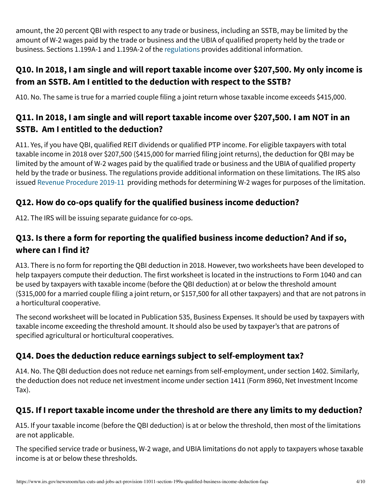amount, the 20 percent QBI with respect to any trade or business, including an SSTB, may be limited by the amount of W-2 wages paid by the trade or business and the UBIA of qualified property held by the trade or business. Sections 1.199A-1 and 1.199A-2 of the [regulations](https://www.irs.gov/pub/irs-drop/reg-107892-18.pdf) provides additional information.

## **Q10. In 2018, I am single and will report taxable income over \$207,500. My only income is from an SSTB. Am I entitled to the deduction with respect to the SSTB?**

A10. No. The same is true for a married couple filing a joint return whose taxable income exceeds \$415,000.

## **Q11. In 2018, I am single and will report taxable income over \$207,500. I am NOT in an SSTB. Am I entitled to the deduction?**

A11. Yes, if you have QBI, qualified REIT dividends or qualified PTP income. For eligible taxpayers with total taxable income in 2018 over \$207,500 (\$415,000 for married filing joint returns), the deduction for QBI may be limited by the amount of W-2 wages paid by the qualified trade or business and the UBIA of qualified property held by the trade or business. The regulations provide additional information on these limitations. The IRS also issued [Revenue Procedure 2019-11](https://www.irs.gov/pub/irs-drop/rp-19-11.pdf) providing methods for determining W-2 wages for purposes of the limitation.

#### **Q12. How do co-ops qualify for the qualified business income deduction?**

A12. The IRS will be issuing separate guidance for co-ops.

## **Q13. Is there a form for reporting the qualified business income deduction? And if so, where can I find it?**

A13. There is no form for reporting the QBI deduction in 2018. However, two worksheets have been developed to help taxpayers compute their deduction. The first worksheet is located in the instructions to Form 1040 and can be used by taxpayers with taxable income (before the QBI deduction) at or below the threshold amount (\$315,000 for a married couple filing a joint return, or \$157,500 for all other taxpayers) and that are not patrons in a horticultural cooperative.

The second worksheet will be located in Publication 535, Business Expenses. It should be used by taxpayers with taxable income exceeding the threshold amount. It should also be used by taxpayer's that are patrons of specified agricultural or horticultural cooperatives.

## **Q14. Does the deduction reduce earnings subject to self-employment tax?**

A14. No. The QBI deduction does not reduce net earnings from self-employment, under section 1402. Similarly, the deduction does not reduce net investment income under section 1411 (Form 8960, Net Investment Income Tax).

#### **Q15. If I report taxable income under the threshold are there any limits to my deduction?**

A15. If your taxable income (before the QBI deduction) is at or below the threshold, then most of the limitations are not applicable.

The specified service trade or business, W-2 wage, and UBIA limitations do not apply to taxpayers whose taxable income is at or below these thresholds.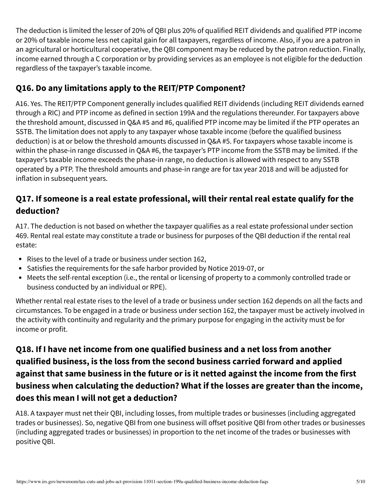The deduction is limited the lesser of 20% of QBI plus 20% of qualified REIT dividends and qualified PTP income or 20% of taxable income less net capital gain for all taxpayers, regardless of income. Also, if you are a patron in an agricultural or horticultural cooperative, the QBI component may be reduced by the patron reduction. Finally, income earned through a C corporation or by providing services as an employee is not eligible for the deduction regardless of the taxpayer's taxable income.

#### **Q16. Do any limitations apply to the REIT/PTP Component?**

A16. Yes. The REIT/PTP Component generally includes qualified REIT dividends (including REIT dividends earned through a RIC) and PTP income as defined in section 199A and the regulations thereunder. For taxpayers above the threshold amount, discussed in Q&A #5 and #6, qualified PTP income may be limited if the PTP operates an SSTB. The limitation does not apply to any taxpayer whose taxable income (before the qualified business deduction) is at or below the threshold amounts discussed in Q&A #5. For taxpayers whose taxable income is within the phase-in range discussed in Q&A #6, the taxpayer's PTP income from the SSTB may be limited. If the taxpayer's taxable income exceeds the phase-in range, no deduction is allowed with respect to any SSTB operated by a PTP. The threshold amounts and phase-in range are for tax year 2018 and will be adjusted for inflation in subsequent years.

## **Q17. If someone is a real estate professional, will their rental real estate qualify for the deduction?**

A17. The deduction is not based on whether the taxpayer qualifies as a real estate professional under section 469. Rental real estate may constitute a trade or business for purposes of the QBI deduction if the rental real estate:

- Rises to the level of a trade or business under section 162,
- Satisfies the requirements for the safe harbor provided by Notice 2019-07, or
- Meets the self-rental exception (i.e., the rental or licensing of property to a commonly controlled trade or business conducted by an individual or RPE).

Whether rental real estate rises to the level of a trade or business under section 162 depends on all the facts and circumstances. To be engaged in a trade or business under section 162, the taxpayer must be actively involved in the activity with continuity and regularity and the primary purpose for engaging in the activity must be for income or profit.

## **Q18. If I have net income from one qualified business and a net loss from another qualified business, is the loss from the second business carried forward and applied against that same business in the future or is it netted against the income from the first business when calculating the deduction? What if the losses are greater than the income, does this mean I will not get a deduction?**

A18. A taxpayer must net their QBI, including losses, from multiple trades or businesses (including aggregated trades or businesses). So, negative QBI from one business will offset positive QBI from other trades or businesses (including aggregated trades or businesses) in proportion to the net income of the trades or businesses with positive QBI.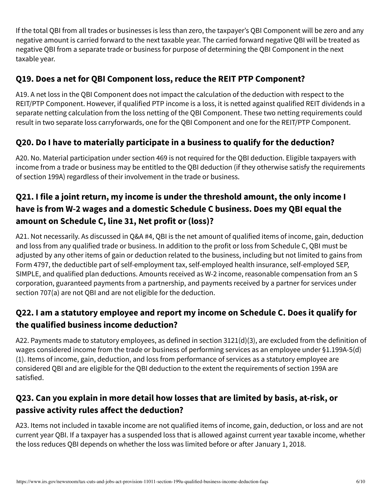If the total QBI from all trades or businesses is less than zero, the taxpayer's QBI Component will be zero and any negative amount is carried forward to the next taxable year. The carried forward negative QBI will be treated as negative QBI from a separate trade or business for purpose of determining the QBI Component in the next taxable year.

#### **Q19. Does a net for QBI Component loss, reduce the REIT PTP Component?**

A19. A net loss in the QBI Component does not impact the calculation of the deduction with respect to the REIT/PTP Component. However, if qualified PTP income is a loss, it is netted against qualified REIT dividends in a separate netting calculation from the loss netting of the QBI Component. These two netting requirements could result in two separate loss carryforwards, one for the QBI Component and one for the REIT/PTP Component.

#### **Q20. Do I have to materially participate in a business to qualify for the deduction?**

A20. No. Material participation under section 469 is not required for the QBI deduction. Eligible taxpayers with income from a trade or business may be entitled to the QBI deduction (if they otherwise satisfy the requirements of section 199A) regardless of their involvement in the trade or business.

## **Q21. I file a joint return, my income is under the threshold amount, the only income I have is from W-2 wages and a domestic Schedule C business. Does my QBI equal the amount on Schedule C, line 31, Net profit or (loss)?**

A21. Not necessarily. As discussed in Q&A #4, QBI is the net amount of qualified items of income, gain, deduction and loss from any qualified trade or business. In addition to the profit or loss from Schedule C, QBI must be adjusted by any other items of gain or deduction related to the business, including but not limited to gains from Form 4797, the deductible part of self-employment tax, self-employed health insurance, self-employed SEP, SIMPLE, and qualified plan deductions. Amounts received as W-2 income, reasonable compensation from an S corporation, guaranteed payments from a partnership, and payments received by a partner for services under section 707(a) are not QBI and are not eligible for the deduction.

## **Q22. I am a statutory employee and report my income on Schedule C. Does it qualify for the qualified business income deduction?**

A22. Payments made to statutory employees, as defined in section 3121(d)(3), are excluded from the definition of wages considered income from the trade or business of performing services as an employee under §1.199A-5(d) (1). Items of income, gain, deduction, and loss from performance of services as a statutory employee are considered QBI and are eligible for the QBI deduction to the extent the requirements of section 199A are satisfied.

## **Q23. Can you explain in more detail how losses that are limited by basis, at-risk, or passive activity rules affect the deduction?**

A23. Items not included in taxable income are not qualified items of income, gain, deduction, or loss and are not current year QBI. If a taxpayer has a suspended loss that is allowed against current year taxable income, whether the loss reduces QBI depends on whether the loss was limited before or after January 1, 2018.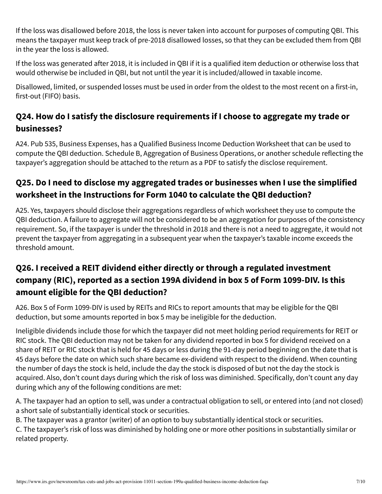If the loss was disallowed before 2018, the loss is never taken into account for purposes of computing QBI. This means the taxpayer must keep track of pre-2018 disallowed losses, so that they can be excluded them from QBI in the year the loss is allowed.

If the loss was generated after 2018, it is included in QBI if it is a qualified item deduction or otherwise loss that would otherwise be included in QBI, but not until the year it is included/allowed in taxable income.

Disallowed, limited, or suspended losses must be used in order from the oldest to the most recent on a first-in, first-out (FIFO) basis.

## **Q24. How do I satisfy the disclosure requirements if I choose to aggregate my trade or businesses?**

A24. Pub 535, Business Expenses, has a Qualified Business Income Deduction Worksheet that can be used to compute the QBI deduction. Schedule B, Aggregation of Business Operations, or another schedule reflecting the taxpayer's aggregation should be attached to the return as a PDF to satisfy the disclose requirement.

## **Q25. Do I need to disclose my aggregated trades or businesses when I use the simplified worksheet in the Instructions for Form 1040 to calculate the QBI deduction?**

A25. Yes, taxpayers should disclose their aggregations regardless of which worksheet they use to compute the QBI deduction. A failure to aggregate will not be considered to be an aggregation for purposes of the consistency requirement. So, if the taxpayer is under the threshold in 2018 and there is not a need to aggregate, it would not prevent the taxpayer from aggregating in a subsequent year when the taxpayer's taxable income exceeds the threshold amount.

## **Q26. I received a REIT dividend either directly or through a regulated investment company (RIC), reported as a section 199A dividend in box 5 of Form 1099-DIV. Is this amount eligible for the QBI deduction?**

A26. Box 5 of Form 1099-DIV is used by REITs and RICs to report amounts that may be eligible for the QBI deduction, but some amounts reported in box 5 may be ineligible for the deduction.

Ineligible dividends include those for which the taxpayer did not meet holding period requirements for REIT or RIC stock. The QBI deduction may not be taken for any dividend reported in box 5 for dividend received on a share of REIT or RIC stock that is held for 45 days or less during the 91-day period beginning on the date that is 45 days before the date on which such share became ex-dividend with respect to the dividend. When counting the number of days the stock is held, include the day the stock is disposed of but not the day the stock is acquired. Also, don't count days during which the risk of loss was diminished. Specifically, don't count any day during which any of the following conditions are met:

A. The taxpayer had an option to sell, was under a contractual obligation to sell, or entered into (and not closed) a short sale of substantially identical stock or securities.

B. The taxpayer was a grantor (writer) of an option to buy substantially identical stock or securities.

C. The taxpayer's risk of loss was diminished by holding one or more other positions in substantially similar or related property.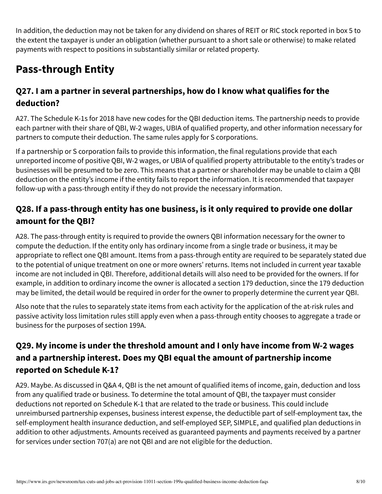In addition, the deduction may not be taken for any dividend on shares of REIT or RIC stock reported in box 5 to the extent the taxpayer is under an obligation (whether pursuant to a short sale or otherwise) to make related payments with respect to positions in substantially similar or related property.

# **Pass-through Entity**

#### **Q27. I am a partner in several partnerships, how do I know what qualifies for the deduction?**

A27. The Schedule K-1s for 2018 have new codes for the QBI deduction items. The partnership needs to provide each partner with their share of QBI, W-2 wages, UBIA of qualified property, and other information necessary for partners to compute their deduction. The same rules apply for S corporations.

If a partnership or S corporation fails to provide this information, the final regulations provide that each unreported income of positive QBI, W-2 wages, or UBIA of qualified property attributable to the entity's trades or businesses will be presumed to be zero. This means that a partner or shareholder may be unable to claim a QBI deduction on the entity's income if the entity fails to report the information. It is recommended that taxpayer follow-up with a pass-through entity if they do not provide the necessary information.

#### **Q28. If a pass-through entity has one business, is it only required to provide one dollar amount for the QBI?**

A28. The pass-through entity is required to provide the owners QBI information necessary for the owner to compute the deduction. If the entity only has ordinary income from a single trade or business, it may be appropriate to reflect one QBI amount. Items from a pass-through entity are required to be separately stated due to the potential of unique treatment on one or more owners' returns. Items not included in current year taxable income are not included in QBI. Therefore, additional details will also need to be provided for the owners. If for example, in addition to ordinary income the owner is allocated a section 179 deduction, since the 179 deduction may be limited, the detail would be required in order for the owner to properly determine the current year QBI.

Also note that the rules to separately state items from each activity for the application of the at-risk rules and passive activity loss limitation rules still apply even when a pass-through entity chooses to aggregate a trade or business for the purposes of section 199A.

## **Q29. My income is under the threshold amount and I only have income from W-2 wages and a partnership interest. Does my QBI equal the amount of partnership income reported on Schedule K-1?**

A29. Maybe. As discussed in Q&A 4, QBI is the net amount of qualified items of income, gain, deduction and loss from any qualified trade or business. To determine the total amount of QBI, the taxpayer must consider deductions not reported on Schedule K-1 that are related to the trade or business. This could include unreimbursed partnership expenses, business interest expense, the deductible part of self-employment tax, the self-employment health insurance deduction, and self-employed SEP, SIMPLE, and qualified plan deductions in addition to other adjustments. Amounts received as guaranteed payments and payments received by a partner for services under section 707(a) are not QBI and are not eligible for the deduction.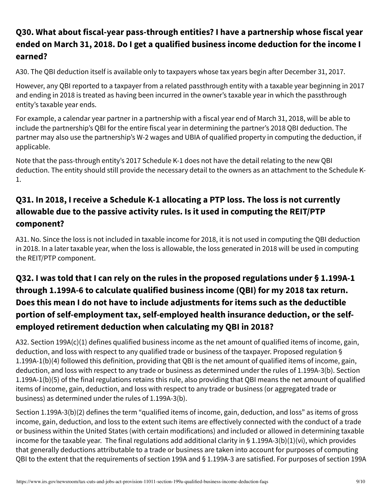## **Q30. What about fiscal-year pass-through entities? I have a partnership whose fiscal year ended on March 31, 2018. Do I get a qualified business income deduction for the income I earned?**

A30. The QBI deduction itself is available only to taxpayers whose tax years begin after December 31, 2017.

However, any QBI reported to a taxpayer from a related passthrough entity with a taxable year beginning in 2017 and ending in 2018 is treated as having been incurred in the owner's taxable year in which the passthrough entity's taxable year ends.

For example, a calendar year partner in a partnership with a fiscal year end of March 31, 2018, will be able to include the partnership's QBI for the entire fiscal year in determining the partner's 2018 QBI deduction. The partner may also use the partnership's W-2 wages and UBIA of qualified property in computing the deduction, if applicable.

Note that the pass-through entity's 2017 Schedule K-1 does not have the detail relating to the new QBI deduction. The entity should still provide the necessary detail to the owners as an attachment to the Schedule K-1.

## **Q31. In 2018, I receive a Schedule K-1 allocating a PTP loss. The loss is not currently allowable due to the passive activity rules. Is it used in computing the REIT/PTP component?**

A31. No. Since the loss is not included in taxable income for 2018, it is not used in computing the QBI deduction in 2018. In a later taxable year, when the loss is allowable, the loss generated in 2018 will be used in computing the REIT/PTP component.

## **Q32. I was told that I can rely on the rules in the proposed regulations under § 1.199A-1 through 1.199A-6 to calculate qualified business income (QBI) for my 2018 tax return. Does this mean I do not have to include adjustments for items such as the deductible portion of self-employment tax, self-employed health insurance deduction, or the selfemployed retirement deduction when calculating my QBI in 2018?**

A32. Section 199A(c)(1) defines qualified business income as the net amount of qualified items of income, gain, deduction, and loss with respect to any qualified trade or business of the taxpayer. Proposed regulation § 1.199A-1(b)(4) followed this definition, providing that QBI is the net amount of qualified items of income, gain, deduction, and loss with respect to any trade or business as determined under the rules of 1.199A-3(b). Section 1.199A-1(b)(5) of the final regulations retains this rule, also providing that QBI means the net amount of qualified items of income, gain, deduction, and loss with respect to any trade or business (or aggregated trade or business) as determined under the rules of 1.199A-3(b).

Section 1.199A-3(b)(2) defines the term "qualified items of income, gain, deduction, and loss" as items of gross income, gain, deduction, and loss to the extent such items are effectively connected with the conduct of a trade or business within the United States (with certain modifications) and included or allowed in determining taxable income for the taxable year. The final regulations add additional clarity in § 1.199A-3(b)(1)(vi), which provides that generally deductions attributable to a trade or business are taken into account for purposes of computing QBI to the extent that the requirements of section 199A and § 1.199A-3 are satisfied. For purposes of section 199A